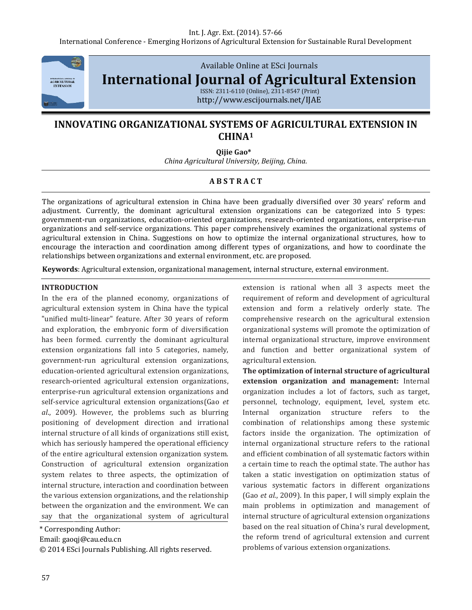#### Int. J. Agr. Ext. (2014). 57-66

International Conference - Emerging Horizons of Agricultural Extension for Sustainable Rural Development



Available Online at ESci Journals

**[International Journal of Agricultural Extension](http://www.escijournals.net/IJER)**

ISSN: 2311-6110 (Online), 2311-8547 (Print) http://www.escijournals.net/IJAE

# **INNOVATING ORGANIZATIONAL SYSTEMS OF AGRICULTURAL EXTENSION IN CHINA<sup>1</sup>**

**Qijie Gao\***

*China Agricultural University, Beijing, China.*

### **A B S T R A C T**

The organizations of agricultural extension in China have been gradually diversified over 30 years' reform and adjustment. Currently, the dominant agricultural extension organizations can be categorized into 5 types: government-run organizations, education-oriented organizations, research-oriented organizations, enterprise-run organizations and self-service organizations. This paper comprehensively examines the organizational systems of agricultural extension in China. Suggestions on how to optimize the internal organizational structures, how to encourage the interaction and coordination among different types of organizations, and how to coordinate the relationships between organizations and external environment, etc. are proposed.

**Keywords**: Agricultural extension, organizational management, internal structure, external environment.

### **INTRODUCTION**

In the era of the planned economy, organizations of agricultural extension system in China have the typical "unified multi-linear" feature. After 30 years of reform and exploration, the embryonic form of diversification has been formed. currently the dominant agricultural extension organizations fall into 5 categories, namely, government-run agricultural extension organizations, education-oriented agricultural extension organizations, research-oriented agricultural extension organizations, enterprise-run agricultural extension organizations and self-service agricultural extension organizations(Gao *et al*., 2009). However, the problems such as blurring positioning of development direction and irrational internal structure of all kinds of organizations still exist, which has seriously hampered the operational efficiency of the entire agricultural extension organization system. Construction of agricultural extension organization system relates to three aspects, the optimization of internal structure, interaction and coordination between the various extension organizations, and the relationship between the organization and the environment. We can say that the organizational system of agricultural

\* Corresponding Author:

Email: gaoqj@cau.edu.cn

© 2014 ESci Journals Publishing. All rights reserved.

extension is rational when all 3 aspects meet the requirement of reform and development of agricultural extension and form a relatively orderly state. The comprehensive research on the agricultural extension organizational systems will promote the optimization of internal organizational structure, improve environment and function and better organizational system of agricultural extension.

**The optimization of internal structure of agricultural extension organization and management:** Internal organization includes a lot of factors, such as target, personnel, technology, equipment, level, system etc. Internal organization structure refers to the combination of relationships among these systemic factors inside the organization. The optimization of internal organizational structure refers to the rational and efficient combination of all systematic factors within a certain time to reach the optimal state. The author has taken a static investigation on optimization status of various systematic factors in different organizations (Gao *et al.*, 2009). In this paper, I will simply explain the main problems in optimization and management of internal structure of agricultural extension organizations based on the real situation of China's rural development, the reform trend of agricultural extension and current problems of various extension organizations.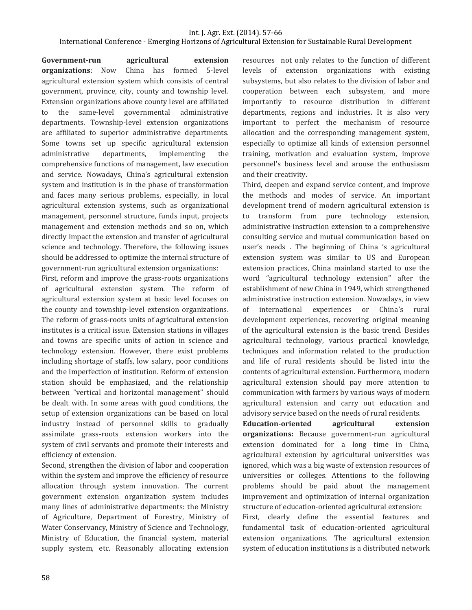**Government-run agricultural extension organizations**: Now China has formed 5-level agricultural extension system which consists of central government, province, city, county and township level. Extension organizations above county level are affiliated to the same-level governmental administrative departments. Township-level extension organizations are affiliated to superior administrative departments. Some towns set up specific agricultural extension administrative departments, implementing the comprehensive functions of management, law execution and service. Nowadays, China's agricultural extension system and institution is in the phase of transformation and faces many serious problems, especially, in local agricultural extension systems, such as organizational management, personnel structure, funds input, projects management and extension methods and so on, which directly impact the extension and transfer of agricultural science and technology. Therefore, the following issues should be addressed to optimize the internal structure of government-run agricultural extension organizations:

First, reform and improve the grass-roots organizations of agricultural extension system. The reform of agricultural extension system at basic level focuses on the county and township-level extension organizations. The reform of grass-roots units of agricultural extension institutes is a critical issue. Extension stations in villages and towns are specific units of action in science and technology extension. However, there exist problems including shortage of staffs, low salary, poor conditions and the imperfection of institution. Reform of extension station should be emphasized, and the relationship between "vertical and horizontal management" should be dealt with. In some areas with good conditions, the setup of extension organizations can be based on local industry instead of personnel skills to gradually assimilate grass-roots extension workers into the system of civil servants and promote their interests and efficiency of extension.

Second, strengthen the division of labor and cooperation within the system and improve the efficiency of resource allocation through system innovation. The current government extension organization system includes many lines of administrative departments: the Ministry of Agriculture, Department of Forestry, Ministry of Water Conservancy, Ministry of Science and Technology, Ministry of Education, the financial system, material supply system, etc. Reasonably allocating extension

resources not only relates to the function of different levels of extension organizations with existing subsystems, but also relates to the division of labor and cooperation between each subsystem, and more importantly to resource distribution in different departments, regions and industries. It is also very important to perfect the mechanism of resource allocation and the corresponding management system, especially to optimize all kinds of extension personnel training, motivation and evaluation system, improve personnel's business level and arouse the enthusiasm and their creativity.

Third, deepen and expand service content, and improve the methods and modes of service. An important development trend of modern agricultural extension is to transform from pure technology extension, administrative instruction extension to a comprehensive consulting service and mutual communication based on user's needs . The beginning of China 's agricultural extension system was similar to US and European extension practices, China mainland started to use the word "agricultural technology extension" after the establishment of new China in 1949, which strengthened administrative instruction extension. Nowadays, in view of international experiences or China's rural development experiences, recovering original meaning of the agricultural extension is the basic trend. Besides agricultural technology, various practical knowledge, techniques and information related to the production and life of rural residents should be listed into the contents of agricultural extension. Furthermore, modern agricultural extension should pay more attention to communication with farmers by various ways of modern agricultural extension and carry out education and advisory service based on the needs of rural residents.

**Education-oriented agricultural extension organizations:** Because government-run agricultural extension dominated for a long time in China, agricultural extension by agricultural universities was ignored, which was a big waste of extension resources of universities or colleges. Attentions to the following problems should be paid about the management improvement and optimization of internal organization structure of education-oriented agricultural extension:

First, clearly define the essential features and fundamental task of education-oriented agricultural extension organizations. The agricultural extension system of education institutions is a distributed network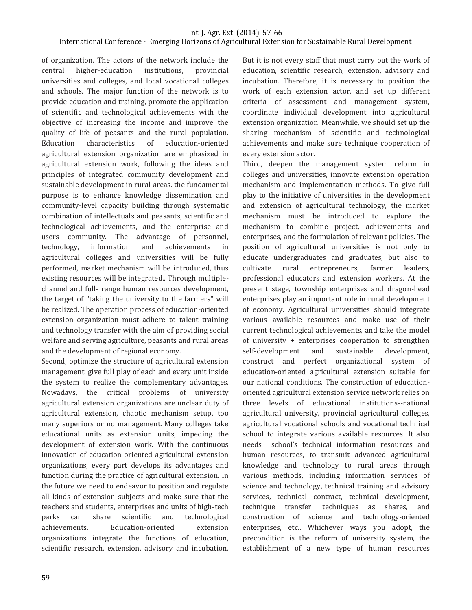### Int. J. Agr. Ext. (2014). 57-66

# International Conference - Emerging Horizons of Agricultural Extension for Sustainable Rural Development

of organization. The actors of the network include the central higher-education institutions, provincial universities and colleges, and local vocational colleges and schools. The major function of the network is to provide education and training, promote the application of scientific and technological achievements with the objective of increasing the income and improve the quality of life of peasants and the rural population. Education characteristics of education-oriented agricultural extension organization are emphasized in agricultural extension work, following the ideas and principles of integrated community development and sustainable development in rural areas. the fundamental purpose is to enhance knowledge dissemination and community-level capacity building through systematic combination of intellectuals and peasants, scientific and technological achievements, and the enterprise and users community. The advantage of personnel, technology, information and achievements in agricultural colleges and universities will be fully performed, market mechanism will be introduced, thus existing resources will be integrated.. Through multiplechannel and full- range human resources development, the target of "taking the university to the farmers" will be realized. The operation process of education-oriented extension organization must adhere to talent training and technology transfer with the aim of providing social welfare and serving agriculture, peasants and rural areas and the development of regional economy.

Second, optimize the structure of agricultural extension management, give full play of each and every unit inside the system to realize the complementary advantages. Nowadays, the critical problems of university agricultural extension organizations are unclear duty of agricultural extension, chaotic mechanism setup, too many superiors or no management. Many colleges take educational units as extension units, impeding the development of extension work. With the continuous innovation of education-oriented agricultural extension organizations, every part develops its advantages and function during the practice of agricultural extension. In the future we need to endeavor to position and regulate all kinds of extension subjects and make sure that the teachers and students, enterprises and units of high-tech parks can share scientific and technological achievements. Education-oriented extension organizations integrate the functions of education, scientific research, extension, advisory and incubation.

But it is not every staff that must carry out the work of education, scientific research, extension, advisory and incubation. Therefore, it is necessary to position the work of each extension actor, and set up different criteria of assessment and management system, coordinate individual development into agricultural extension organization. Meanwhile, we should set up the sharing mechanism of scientific and technological achievements and make sure technique cooperation of every extension actor.

Third, deepen the management system reform in colleges and universities, innovate extension operation mechanism and implementation methods. To give full play to the initiative of universities in the development and extension of agricultural technology, the market mechanism must be introduced to explore the mechanism to combine project, achievements and enterprises, and the formulation of relevant policies. The position of agricultural universities is not only to educate undergraduates and graduates, but also to cultivate rural entrepreneurs, farmer leaders, professional educators and extension workers. At the present stage, township enterprises and dragon-head enterprises play an important role in rural development of economy. Agricultural universities should integrate various available resources and make use of their current technological achievements, and take the model of university + enterprises cooperation to strengthen self-development and sustainable development, construct and perfect organizational system of education-oriented agricultural extension suitable for our national conditions. The construction of educationoriented agricultural extension service network relies on three levels of educational institutions--national agricultural university, provincial agricultural colleges, agricultural vocational schools and vocational technical school to integrate various available resources. It also needs school's technical information resources and human resources, to transmit advanced agricultural knowledge and technology to rural areas through various methods, including information services of science and technology, technical training and advisory services, technical contract, technical development, technique transfer, techniques as shares, and construction of science and technology-oriented enterprises, etc.. Whichever ways you adopt, the precondition is the reform of university system, the establishment of a new type of human resources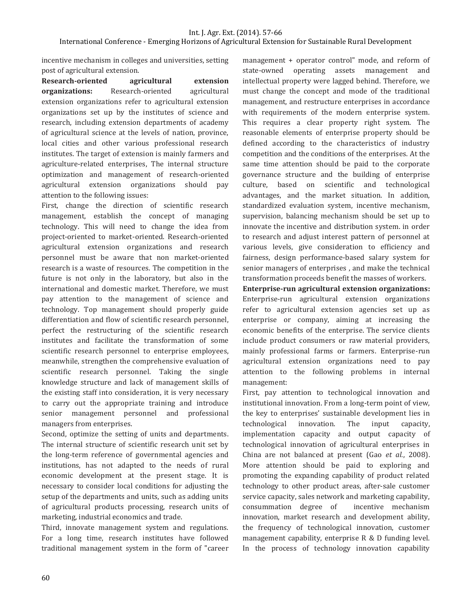incentive mechanism in colleges and universities, setting post of agricultural extension.

**Research-oriented agricultural extension organizations:** Research-oriented agricultural extension organizations refer to agricultural extension organizations set up by the institutes of science and research, including extension departments of academy of agricultural science at the levels of nation, province, local cities and other various professional research institutes. The target of extension is mainly farmers and agriculture-related enterprises, The internal structure optimization and management of research-oriented agricultural extension organizations should pay attention to the following issues:

First, change the direction of scientific research management, establish the concept of managing technology. This will need to change the idea from project-oriented to market-oriented. Research-oriented agricultural extension organizations and research personnel must be aware that non market-oriented research is a waste of resources. The competition in the future is not only in the laboratory, but also in the international and domestic market. Therefore, we must pay attention to the management of science and technology. Top management should properly guide differentiation and flow of scientific research personnel, perfect the restructuring of the scientific research institutes and facilitate the transformation of some scientific research personnel to enterprise employees, meanwhile, strengthen the comprehensive evaluation of scientific research personnel. Taking the single knowledge structure and lack of management skills of the existing staff into consideration, it is very necessary to carry out the appropriate training and introduce senior management personnel and professional managers from enterprises.

Second, optimize the setting of units and departments. The internal structure of scientific research unit set by the long-term reference of governmental agencies and institutions, has not adapted to the needs of rural economic development at the present stage. It is necessary to consider local conditions for adjusting the setup of the departments and units, such as adding units of agricultural products processing, research units of marketing, industrial economics and trade.

Third, innovate management system and regulations. For a long time, research institutes have followed traditional management system in the form of "career

management + operator control" mode, and reform of state-owned operating assets management and intellectual property were lagged behind. Therefore, we must change the concept and mode of the traditional management, and restructure enterprises in accordance with requirements of the modern enterprise system. This requires a clear property right system. The reasonable elements of enterprise property should be defined according to the characteristics of industry competition and the conditions of the enterprises. At the same time attention should be paid to the corporate governance structure and the building of enterprise culture, based on scientific and technological advantages, and the market situation. In addition, standardized evaluation system, incentive mechanism, supervision, balancing mechanism should be set up to innovate the incentive and distribution system. in order to research and adjust interest pattern of personnel at various levels, give consideration to efficiency and fairness, design performance-based salary system for senior managers of enterprises , and make the technical transformation proceeds benefit the masses of workers.

**Enterprise-run agricultural extension organizations:**  Enterprise-run agricultural extension organizations refer to agricultural extension agencies set up as enterprise or company, aiming at increasing the economic benefits of the enterprise. The service clients include product consumers or raw material providers, mainly professional farms or farmers. Enterprise-run agricultural extension organizations need to pay attention to the following problems in internal management:

First, pay attention to technological innovation and institutional innovation. From a long-term point of view, the key to enterprises' sustainable development lies in technological innovation. The input capacity, implementation capacity and output capacity of technological innovation of agricultural enterprises in China are not balanced at present (Gao *et al.*, 2008). More attention should be paid to exploring and promoting the expanding capability of product related technology to other product areas, after-sale customer service capacity, sales network and marketing capability, consummation degree of incentive mechanism innovation, market research and development ability, the frequency of technological innovation, customer management capability, enterprise R & D funding level. In the process of technology innovation capability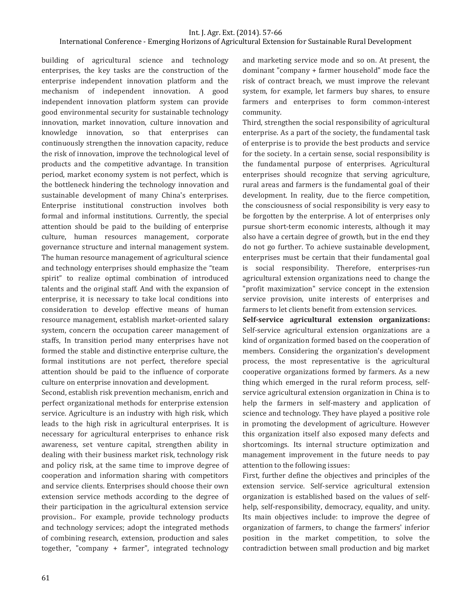building of agricultural science and technology enterprises, the key tasks are the construction of the enterprise independent innovation platform and the mechanism of independent innovation. A good independent innovation platform system can provide good environmental security for sustainable technology innovation, market innovation, culture innovation and knowledge innovation, so that enterprises can continuously strengthen the innovation capacity, reduce the risk of innovation, improve the technological level of products and the competitive advantage. In transition period, market economy system is not perfect, which is the bottleneck hindering the technology innovation and sustainable development of many China's enterprises. Enterprise institutional construction involves both formal and informal institutions. Currently, the special attention should be paid to the building of enterprise culture, human resources management, corporate governance structure and internal management system. The human resource management of agricultural science and technology enterprises should emphasize the "team spirit" to realize optimal combination of introduced talents and the original staff. And with the expansion of enterprise, it is necessary to take local conditions into consideration to develop effective means of human resource management, establish market-oriented salary system, concern the occupation career management of staffs, In transition period many enterprises have not formed the stable and distinctive enterprise culture, the formal institutions are not perfect, therefore special attention should be paid to the influence of corporate culture on enterprise innovation and development.

Second, establish risk prevention mechanism, enrich and perfect organizational methods for enterprise extension service. Agriculture is an industry with high risk, which leads to the high risk in agricultural enterprises. It is necessary for agricultural enterprises to enhance risk awareness, set venture capital, strengthen ability in dealing with their business market risk, technology risk and policy risk, at the same time to improve degree of cooperation and information sharing with competitors and service clients. Enterprises should choose their own extension service methods according to the degree of their participation in the agricultural extension service provision.. For example, provide technology products and technology services; adopt the integrated methods of combining research, extension, production and sales together, "company + farmer", integrated technology

and marketing service mode and so on. At present, the dominant "company + farmer household" mode face the risk of contract breach, we must improve the relevant system, for example, let farmers buy shares, to ensure farmers and enterprises to form common-interest community.

Third, strengthen the social responsibility of agricultural enterprise. As a part of the society, the fundamental task of enterprise is to provide the best products and service for the society. In a certain sense, social responsibility is the fundamental purpose of enterprises. Agricultural enterprises should recognize that serving agriculture, rural areas and farmers is the fundamental goal of their development. In reality, due to the fierce competition, the consciousness of social responsibility is very easy to be forgotten by the enterprise. A lot of enterprises only pursue short-term economic interests, although it may also have a certain degree of growth, but in the end they do not go further. To achieve sustainable development, enterprises must be certain that their fundamental goal is social responsibility. Therefore, enterprises-run agricultural extension organizations need to change the "profit maximization" service concept in the extension service provision, unite interests of enterprises and farmers to let clients benefit from extension services.

**Self-service agricultural extension organizations:**  Self-service agricultural extension organizations are a kind of organization formed based on the cooperation of members. Considering the organization's development process, the most representative is the agricultural cooperative organizations formed by farmers. As a new thing which emerged in the rural reform process, selfservice agricultural extension organization in China is to help the farmers in self-mastery and application of science and technology. They have played a positive role in promoting the development of agriculture. However this organization itself also exposed many defects and shortcomings. Its internal structure optimization and management improvement in the future needs to pay attention to the following issues:

First, further define the objectives and principles of the extension service. Self-service agricultural extension organization is established based on the values of selfhelp, self-responsibility, democracy, equality, and unity. Its main objectives include: to improve the degree of organization of farmers, to change the farmers' inferior position in the market competition, to solve the contradiction between small production and big market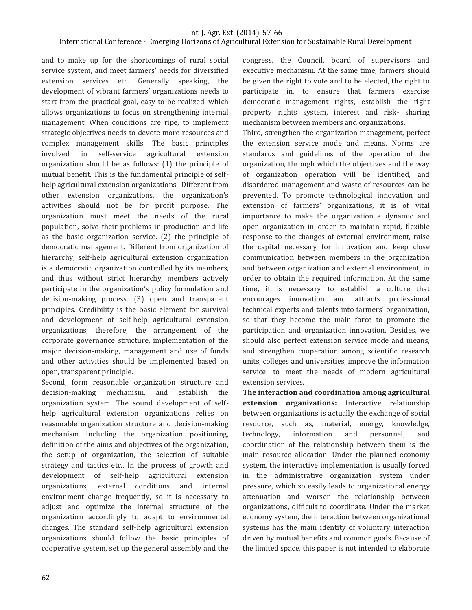and to make up for the shortcomings of rural social service system, and meet farmers' needs for diversified extension services etc. Generally speaking, the development of vibrant farmers' organizations needs to start from the practical goal, easy to be realized, which allows organizations to focus on strengthening internal management. When conditions are ripe, to implement strategic objectives needs to devote more resources and complex management skills. The basic principles involved in self-service agricultural extension organization should be as follows: (1) the principle of mutual benefit. This is the fundamental principle of selfhelp agricultural extension organizations. Different from other extension organizations, the organization's activities should not be for profit purpose. The organization must meet the needs of the rural population, solve their problems in production and life as the basic organization service. (2) the principle of democratic management. Different from organization of hierarchy, self-help agricultural extension organization is a democratic organization controlled by its members, and thus without strict hierarchy, members actively participate in the organization's policy formulation and decision-making process. (3) open and transparent principles. Credibility is the basic element for survival and development of self-help agricultural extension organizations, therefore, the arrangement of the corporate governance structure, implementation of the major decision-making, management and use of funds and other activities should be implemented based on open, transparent principle.

Second, form reasonable organization structure and decision-making mechanism, and establish the organization system. The sound development of selfhelp agricultural extension organizations relies on reasonable organization structure and decision-making mechanism including the organization positioning, definition of the aims and objectives of the organization, the setup of organization, the selection of suitable strategy and tactics etc.. In the process of growth and development of self-help agricultural extension organizations, external conditions and internal environment change frequently, so it is necessary to adjust and optimize the internal structure of the organization accordingly to adapt to environmental changes. The standard self-help agricultural extension organizations should follow the basic principles of cooperative system, set up the general assembly and the

congress, the Council, board of supervisors and executive mechanism. At the same time, farmers should be given the right to vote and to be elected, the right to participate in, to ensure that farmers exercise democratic management rights, establish the right property rights system, interest and risk- sharing mechanism between members and organizations.

Third, strengthen the organization management, perfect the extension service mode and means. Norms are standards and guidelines of the operation of the organization, through which the objectives and the way of organization operation will be identified, and disordered management and waste of resources can be prevented. To promote technological innovation and extension of farmers' organizations, it is of vital importance to make the organization a dynamic and open organization in order to maintain rapid, flexible response to the changes of external environment, raise the capital necessary for innovation and keep close communication between members in the organization and between organization and external environment, in order to obtain the required information. At the same time, it is necessary to establish a culture that encourages innovation and attracts professional technical experts and talents into farmers' organization, so that they become the main force to promote the participation and organization innovation. Besides, we should also perfect extension service mode and means, and strengthen cooperation among scientific research units, colleges and universities, improve the information service, to meet the needs of modern agricultural extension services.

**The interaction and coordination among agricultural extension organizations:** Interactive relationship between organizations is actually the exchange of social resource, such as, material, energy, knowledge, technology, information and personnel, and coordination of the relationship between them is the main resource allocation. Under the planned economy system, the interactive implementation is usually forced in the administrative organization system under pressure, which so easily leads to organizational energy attenuation and worsen the relationship between organizations, difficult to coordinate. Under the market economy system, the interaction between organizational systems has the main identity of voluntary interaction driven by mutual benefits and common goals. Because of the limited space, this paper is not intended to elaborate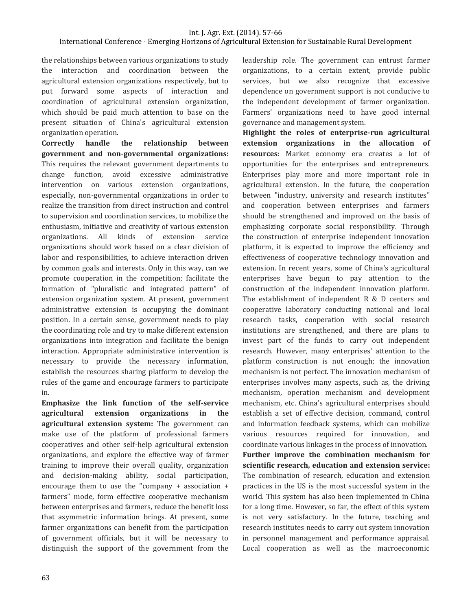the relationships between various organizations to study the interaction and coordination between the agricultural extension organizations respectively, but to put forward some aspects of interaction and coordination of agricultural extension organization, which should be paid much attention to base on the present situation of China's agricultural extension organization operation.

**Correctly handle the relationship between government and non-governmental organizations:**  This requires the relevant government departments to change function, avoid excessive administrative intervention on various extension organizations, especially, non-governmental organizations in order to realize the transition from direct instruction and control to supervision and coordination services, to mobilize the enthusiasm, initiative and creativity of various extension organizations. All kinds of extension service organizations should work based on a clear division of labor and responsibilities, to achieve interaction driven by common goals and interests. Only in this way, can we promote cooperation in the competition; facilitate the formation of "pluralistic and integrated pattern" of extension organization system. At present, government administrative extension is occupying the dominant position. In a certain sense, government needs to play the coordinating role and try to make different extension organizations into integration and facilitate the benign interaction. Appropriate administrative intervention is necessary to provide the necessary information, establish the resources sharing platform to develop the rules of the game and encourage farmers to participate in.

**Emphasize the link function of the self-service agricultural extension organizations in the agricultural extension system:** The government can make use of the platform of professional farmers cooperatives and other self-help agricultural extension organizations, and explore the effective way of farmer training to improve their overall quality, organization and decision-making ability, social participation, encourage them to use the "company + association + farmers" mode, form effective cooperative mechanism between enterprises and farmers, reduce the benefit loss that asymmetric information brings. At present, some farmer organizations can benefit from the participation of government officials, but it will be necessary to distinguish the support of the government from the

leadership role. The government can entrust farmer organizations, to a certain extent, provide public services, but we also recognize that excessive dependence on government support is not conducive to the independent development of farmer organization. Farmers' organizations need to have good internal governance and management system.

**Highlight the roles of enterprise-run agricultural extension organizations in the allocation of resources**: Market economy era creates a lot of opportunities for the enterprises and entrepreneurs. Enterprises play more and more important role in agricultural extension. In the future, the cooperation between "industry, university and research institutes" and cooperation between enterprises and farmers should be strengthened and improved on the basis of emphasizing corporate social responsibility. Through the construction of enterprise independent innovation platform, it is expected to improve the efficiency and effectiveness of cooperative technology innovation and extension. In recent years, some of China's agricultural enterprises have begun to pay attention to the construction of the independent innovation platform. The establishment of independent R & D centers and cooperative laboratory conducting national and local research tasks, cooperation with social research institutions are strengthened, and there are plans to invest part of the funds to carry out independent research. However, many enterprises' attention to the platform construction is not enough; the innovation mechanism is not perfect. The innovation mechanism of enterprises involves many aspects, such as, the driving mechanism, operation mechanism and development mechanism, etc. China's agricultural enterprises should establish a set of effective decision, command, control and information feedback systems, which can mobilize various resources required for innovation, and coordinate various linkages in the process of innovation. **Further improve the combination mechanism for scientific research, education and extension service:**  The combination of research, education and extension practices in the US is the most successful system in the world. This system has also been implemented in China for a long time. However, so far, the effect of this system is not very satisfactory. In the future, teaching and research institutes needs to carry out system innovation in personnel management and performance appraisal. Local cooperation as well as the macroeconomic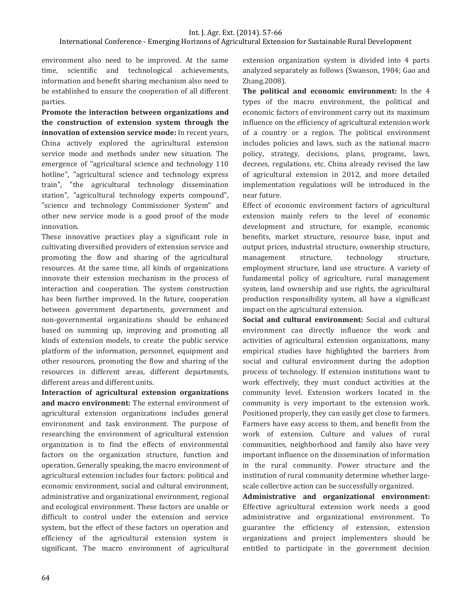#### Int. J. Agr. Ext. (2014). 57-66

### International Conference - Emerging Horizons of Agricultural Extension for Sustainable Rural Development

environment also need to be improved. At the same time, scientific and technological achievements, information and benefit sharing mechanism also need to be established to ensure the cooperation of all different parties.

**Promote the interaction between organizations and the construction of extension system through the innovation of extension service mode:** In recent years, China actively explored the agricultural extension service mode and methods under new situation. The emergence of "agricultural science and technology 110 hotline", "agricultural science and technology express train", "the agricultural technology dissemination station", "agricultural technology experts compound", "science and technology Commissioner System" and other new service mode is a good proof of the mode innovation.

These innovative practices play a significant role in cultivating diversified providers of extension service and promoting the flow and sharing of the agricultural resources. At the same time, all kinds of organizations innovate their extension mechanism in the process of interaction and cooperation. The system construction has been further improved. In the future, cooperation between government departments, government and non-governmental organizations should be enhanced based on summing up, improving and promoting all kinds of extension models, to create the public service platform of the information, personnel, equipment and other resources, promoting the flow and sharing of the resources in different areas, different departments, different areas and different units.

**Interaction of agricultural extension organizations and macro environment:** The external environment of agricultural extension organizations includes general environment and task environment. The purpose of researching the environment of agricultural extension organization is to find the effects of environmental factors on the organization structure, function and operation. Generally speaking, the macro environment of agricultural extension includes four factors: political and economic environment, social and cultural environment, administrative and organizational environment, regional and ecological environment. These factors are unable or difficult to control under the extension and service system, but the effect of these factors on operation and efficiency of the agricultural extension system is significant. The macro environment of agricultural extension organization system is divided into 4 parts analyzed separately as follows (Swanson, 1984; Gao and Zhang.2008).

**The political and economic environment:** In the 4 types of the macro environment, the political and economic factors of environment carry out its maximum influence on the efficiency of agricultural extension work of a country or a region. The political environment includes policies and laws, such as the national macro policy, strategy, decisions, plans, programs, laws, decrees, regulations, etc. China already revised the law of agricultural extension in 2012, and more detailed implementation regulations will be introduced in the near future.

Effect of economic environment factors of agricultural extension mainly refers to the level of economic development and structure, for example, economic benefits, market structure, resource base, input and output prices, industrial structure, ownership structure, management structure, technology structure, employment structure, land use structure. A variety of fundamental policy of agriculture, rural management system, land ownership and use rights, the agricultural production responsibility system, all have a significant impact on the agricultural extension.

**Social and cultural environment:** Social and cultural environment can directly influence the work and activities of agricultural extension organizations, many empirical studies have highlighted the barriers from social and cultural environment during the adoption process of technology. If extension institutions want to work effectively, they must conduct activities at the community level. Extension workers located in the community is very important to the extension work. Positioned properly, they can easily get close to farmers. Farmers have easy access to them, and benefit from the work of extension. Culture and values of rural communities, neighborhood and family also have very important influence on the dissemination of information in the rural community. Power structure and the institution of rural community determine whether largescale collective action can be successfully organized.

**Administrative and organizational environment:**  Effective agricultural extension work needs a good administrative and organizational environment. To guarantee the efficiency of extension, extension organizations and project implementers should be entitled to participate in the government decision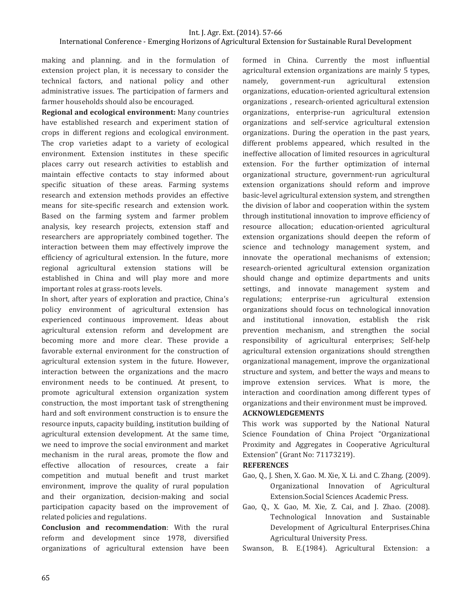making and planning. and in the formulation of extension project plan, it is necessary to consider the technical factors, and national policy and other administrative issues. The participation of farmers and farmer households should also be encouraged.

**Regional and ecological environment:** Many countries have established research and experiment station of crops in different regions and ecological environment. The crop varieties adapt to a variety of ecological environment. Extension institutes in these specific places carry out research activities to establish and maintain effective contacts to stay informed about specific situation of these areas. Farming systems research and extension methods provides an effective means for site-specific research and extension work. Based on the farming system and farmer problem analysis, key research projects, extension staff and researchers are appropriately combined together. The interaction between them may effectively improve the efficiency of agricultural extension. In the future, more regional agricultural extension stations will be established in China and will play more and more important roles at grass-roots levels.

In short, after years of exploration and practice, China's policy environment of agricultural extension has experienced continuous improvement. Ideas about agricultural extension reform and development are becoming more and more clear. These provide a favorable external environment for the construction of agricultural extension system in the future. However, interaction between the organizations and the macro environment needs to be continued. At present, to promote agricultural extension organization system construction, the most important task of strengthening hard and soft environment construction is to ensure the resource inputs, capacity building, institution building of agricultural extension development. At the same time, we need to improve the social environment and market mechanism in the rural areas, promote the flow and effective allocation of resources, create a fair competition and mutual benefit and trust market environment, improve the quality of rural population and their organization, decision-making and social participation capacity based on the improvement of related policies and regulations.

**Conclusion and recommendation**: With the rural reform and development since 1978, diversified organizations of agricultural extension have been formed in China. Currently the most influential agricultural extension organizations are mainly 5 types, namely, government-run agricultural extension organizations, education-oriented agricultural extension organizations , research-oriented agricultural extension organizations, enterprise-run agricultural extension organizations and self-service agricultural extension organizations. During the operation in the past years, different problems appeared, which resulted in the ineffective allocation of limited resources in agricultural extension. For the further optimization of internal organizational structure, government-run agricultural extension organizations should reform and improve basic-level agricultural extension system, and strengthen the division of labor and cooperation within the system through institutional innovation to improve efficiency of resource allocation; education-oriented agricultural extension organizations should deepen the reform of science and technology management system, and innovate the operational mechanisms of extension; research-oriented agricultural extension organization should change and optimize departments and units settings, and innovate management system and regulations; enterprise-run agricultural extension organizations should focus on technological innovation and institutional innovation, establish the risk prevention mechanism, and strengthen the social responsibility of agricultural enterprises; Self-help agricultural extension organizations should strengthen organizational management, improve the organizational structure and system, and better the ways and means to improve extension services. What is more, the interaction and coordination among different types of organizations and their environment must be improved.

# **ACKNOWLEDGEMENTS**

This work was supported by the National Natural Science Foundation of China Project "Organizational Proximity and Aggregates in Cooperative Agricultural Extension" (Grant No: 71173219).

# **REFERENCES**

- Gao, Q., J. Shen, X. Gao. M. Xie, X. Li. and C. Zhang. (2009). Organizational Innovation of Agricultural Extension.Social Sciences Academic Press.
- Gao, Q., X. Gao, M. Xie, Z. Cai, and J. Zhao. (2008). Technological Innovation and Sustainable Development of Agricultural Enterprises.China Agricultural University Press.

Swanson, B. E.(1984). Agricultural Extension: a